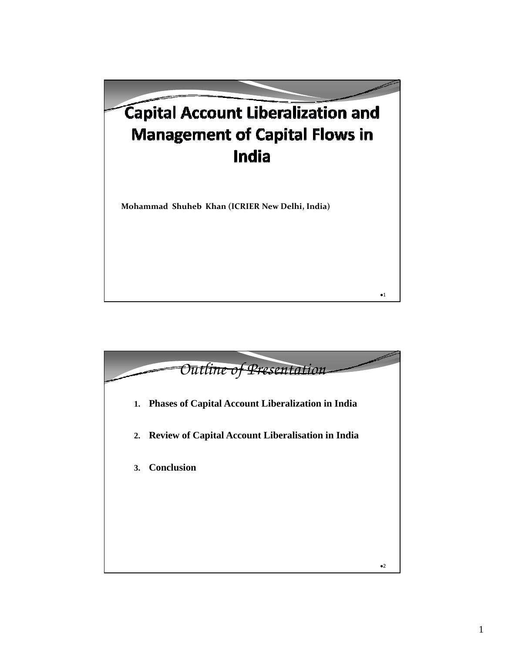## Capital Account Liberalization and **Management of Capital Flows in** India

**Mohammad Shuheb Khan (ICRIER New Delhi, India)**



 $\bullet 1$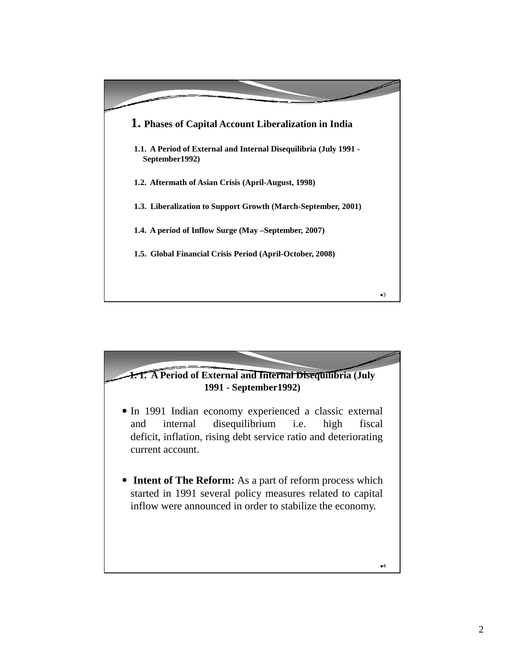

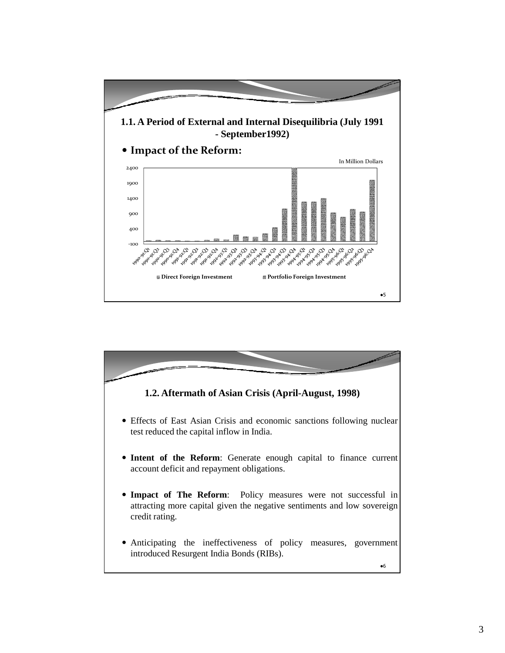

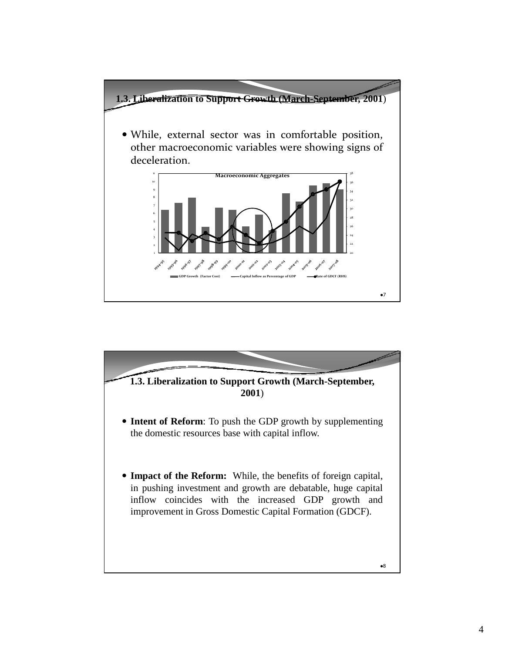

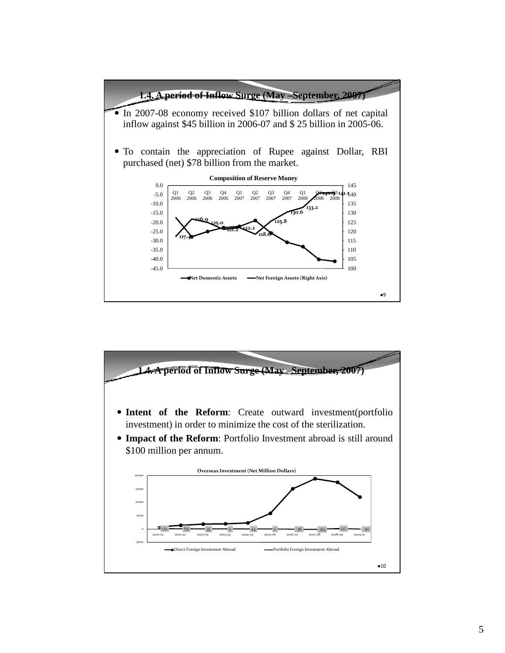

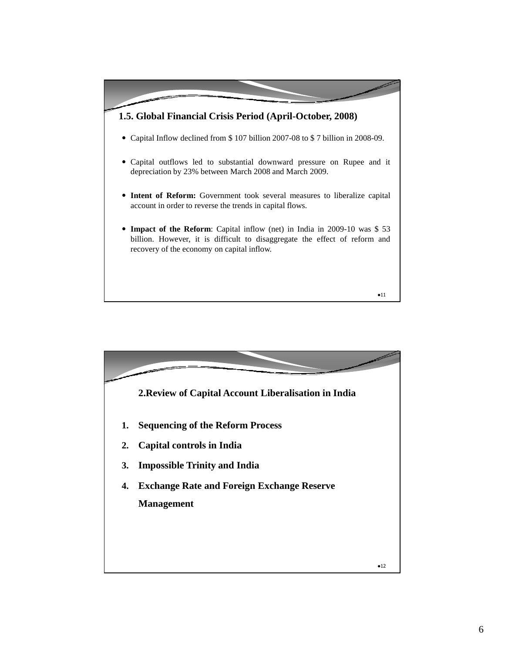

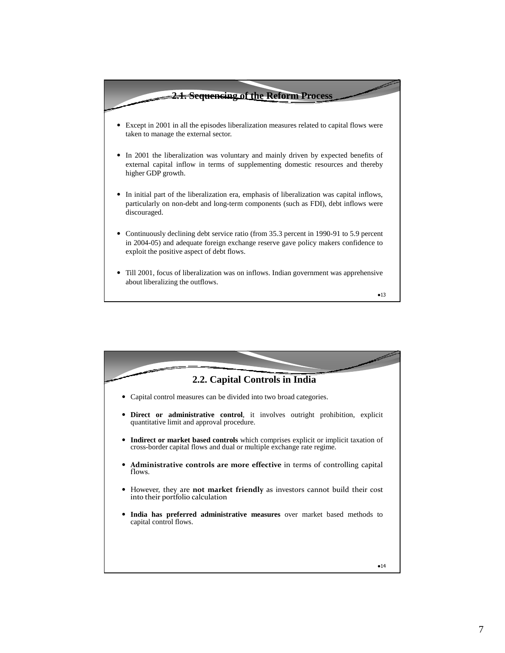

 $•13$ 

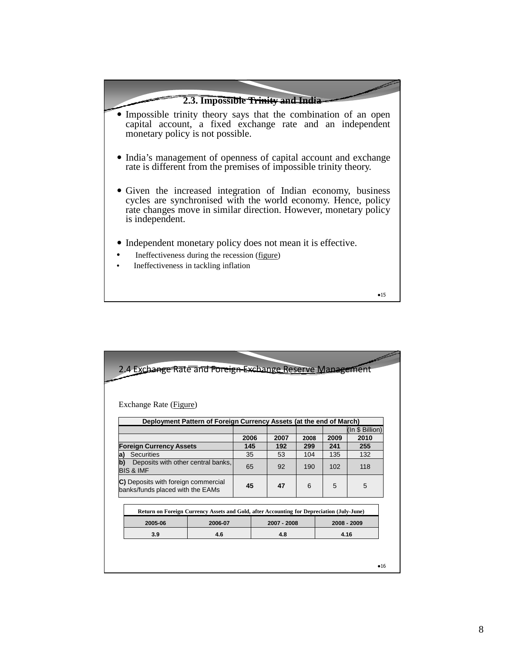

 $•15$ 

| Exchange Rate (Figure)                                                                    |         |      |             |      |      |                 |      |
|-------------------------------------------------------------------------------------------|---------|------|-------------|------|------|-----------------|------|
| Deployment Pattern of Foreign Currency Assets (at the end of March)                       |         |      |             |      |      |                 |      |
|                                                                                           |         |      |             |      |      | (In \$ Billion) |      |
|                                                                                           |         | 2006 |             | 2007 | 2008 | 2009            | 2010 |
| <b>Foreign Currency Assets</b>                                                            |         | 145  |             | 192  | 299  | 241             | 255  |
| Securities<br>a)                                                                          |         | 35   |             | 53   | 104  | 135             | 132  |
| b)<br>Deposits with other central banks,<br><b>BIS &amp; IMF</b>                          |         | 65   |             | 92   | 190  | 102             | 118  |
| C) Deposits with foreign commercial<br>banks/funds placed with the EAMs                   |         | 45   |             | 47   | 6    | 5               | 5    |
| Return on Foreign Currency Assets and Gold, after Accounting for Depreciation (July-June) |         |      |             |      |      |                 |      |
| 2005-06                                                                                   | 2006-07 |      | 2007 - 2008 |      |      | 2008 - 2009     |      |
| 3.9                                                                                       | 4.6     |      | 4.8         |      |      | 4.16            |      |
|                                                                                           |         |      |             |      |      |                 |      |
|                                                                                           |         |      |             |      |      |                 |      |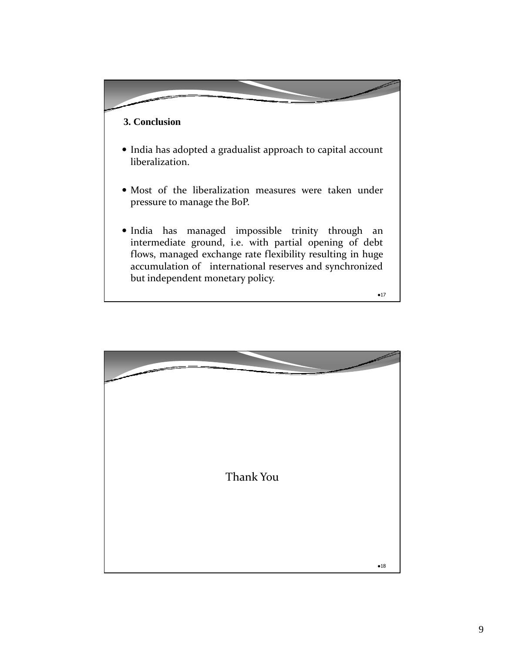## **3. Conclusion**

- India has adopted a gradualist approach to capital account liberalization.
- Most of the liberalization measures were taken under pressure to manage the BoP.
- India has managed impossible trinity through an intermediate ground, i.e. with partial opening of debt flows, managed exchange rate flexibility resulting in huge accumulation of international reserves and synchronized but independent monetary policy.

 $•17$ 

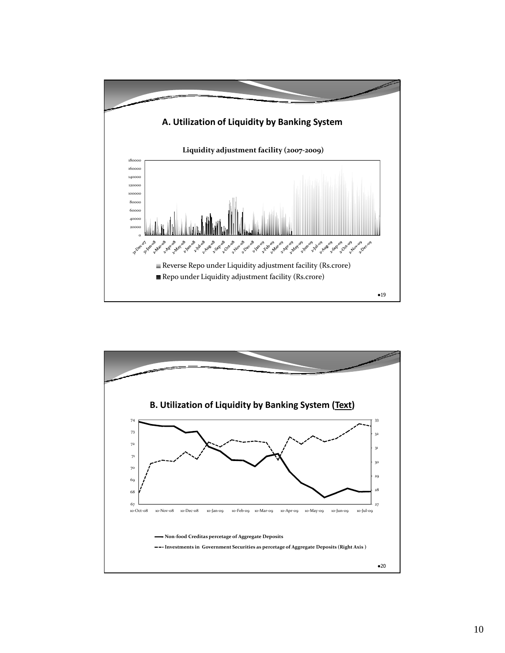